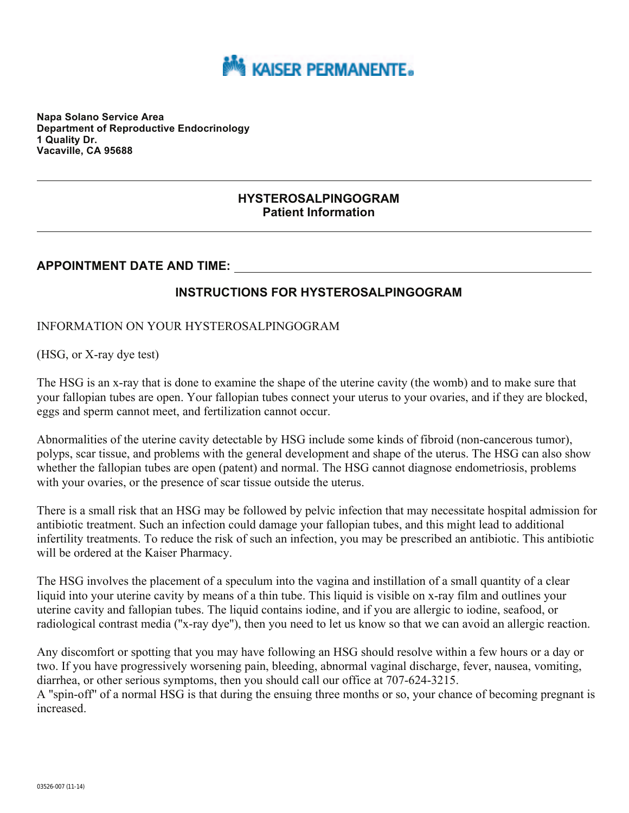

**Napa Solano Service Area Department of Reproductive Endocrinology 1 Quality Dr. Vacaville, CA 95688** 

#### **HYSTEROSALPINGOGRAM Patient Information**

# **APPOINTMENT DATE AND TIME:**

## **INSTRUCTIONS FOR HYSTEROSALPINGOGRAM**

#### INFORMATION ON YOUR HYSTEROSALPINGOGRAM

(HSG, or X-ray dye test)

The HSG is an x-ray that is done to examine the shape of the uterine cavity (the womb) and to make sure that your fallopian tubes are open. Your fallopian tubes connect your uterus to your ovaries, and if they are blocked, eggs and sperm cannot meet, and fertilization cannot occur.

Abnormalities of the uterine cavity detectable by HSG include some kinds of fibroid (non-cancerous tumor), polyps, scar tissue, and problems with the general development and shape of the uterus. The HSG can also show whether the fallopian tubes are open (patent) and normal. The HSG cannot diagnose endometriosis, problems with your ovaries, or the presence of scar tissue outside the uterus.

There is a small risk that an HSG may be followed by pelvic infection that may necessitate hospital admission for antibiotic treatment. Such an infection could damage your fallopian tubes, and this might lead to additional infertility treatments. To reduce the risk of such an infection, you may be prescribed an antibiotic. This antibiotic will be ordered at the Kaiser Pharmacy.

The HSG involves the placement of a speculum into the vagina and instillation of a small quantity of a clear liquid into your uterine cavity by means of a thin tube. This liquid is visible on x-ray film and outlines your uterine cavity and fallopian tubes. The liquid contains iodine, and if you are allergic to iodine, seafood, or radiological contrast media (''x-ray dye''), then you need to let us know so that we can avoid an allergic reaction.

Any discomfort or spotting that you may have following an HSG should resolve within a few hours or a day or two. If you have progressively worsening pain, bleeding, abnormal vaginal discharge, fever, nausea, vomiting, diarrhea, or other serious symptoms, then you should call our office at 707-624-3215.

A ''spin-off'' of a normal HSG is that during the ensuing three months or so, your chance of becoming pregnant is increased.